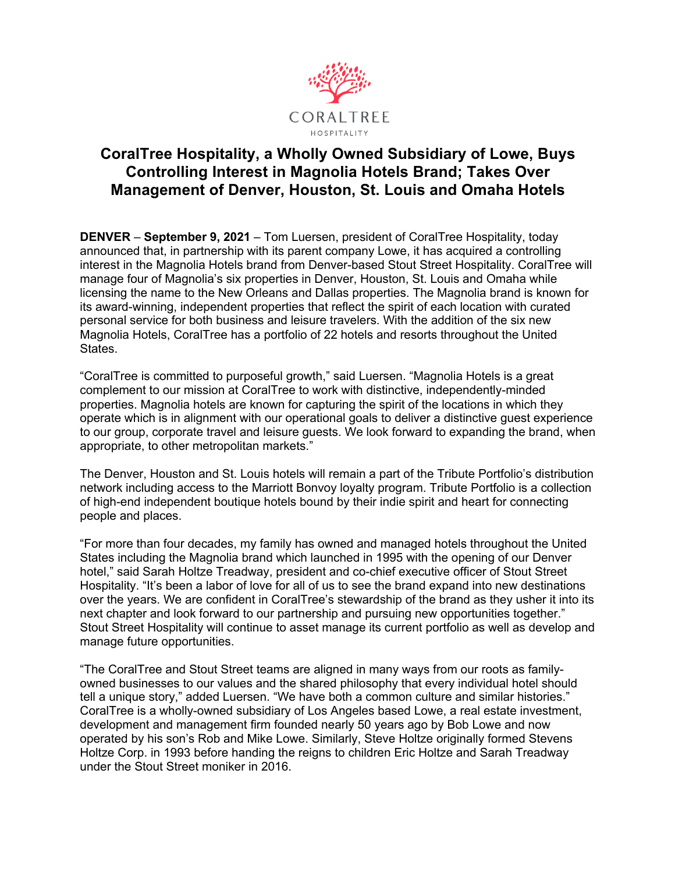

# **CoralTree Hospitality, a Wholly Owned Subsidiary of Lowe, Buys Controlling Interest in Magnolia Hotels Brand; Takes Over Management of Denver, Houston, St. Louis and Omaha Hotels**

**DENVER** – **September 9, 2021** – Tom Luersen, president of CoralTree Hospitality, today announced that, in partnership with its parent company Lowe, it has acquired a controlling interest in the Magnolia Hotels brand from Denver-based Stout Street Hospitality. CoralTree will manage four of Magnolia's six properties in Denver, Houston, St. Louis and Omaha while licensing the name to the New Orleans and Dallas properties. The Magnolia brand is known for its award-winning, independent properties that reflect the spirit of each location with curated personal service for both business and leisure travelers. With the addition of the six new Magnolia Hotels, CoralTree has a portfolio of 22 hotels and resorts throughout the United States.

"CoralTree is committed to purposeful growth," said Luersen. "Magnolia Hotels is a great complement to our mission at CoralTree to work with distinctive, independently-minded properties. Magnolia hotels are known for capturing the spirit of the locations in which they operate which is in alignment with our operational goals to deliver a distinctive guest experience to our group, corporate travel and leisure guests. We look forward to expanding the brand, when appropriate, to other metropolitan markets."

The Denver, Houston and St. Louis hotels will remain a part of the Tribute Portfolio's distribution network including access to the Marriott Bonvoy loyalty program. Tribute Portfolio is a collection of high-end independent boutique hotels bound by their indie spirit and heart for connecting people and places.

"For more than four decades, my family has owned and managed hotels throughout the United States including the Magnolia brand which launched in 1995 with the opening of our Denver hotel," said Sarah Holtze Treadway, president and co-chief executive officer of Stout Street Hospitality. "It's been a labor of love for all of us to see the brand expand into new destinations over the years. We are confident in CoralTree's stewardship of the brand as they usher it into its next chapter and look forward to our partnership and pursuing new opportunities together." Stout Street Hospitality will continue to asset manage its current portfolio as well as develop and manage future opportunities.

"The CoralTree and Stout Street teams are aligned in many ways from our roots as familyowned businesses to our values and the shared philosophy that every individual hotel should tell a unique story," added Luersen. "We have both a common culture and similar histories." CoralTree is a wholly-owned subsidiary of Los Angeles based Lowe, a real estate investment, development and management firm founded nearly 50 years ago by Bob Lowe and now operated by his son's Rob and Mike Lowe. Similarly, Steve Holtze originally formed Stevens Holtze Corp. in 1993 before handing the reigns to children Eric Holtze and Sarah Treadway under the Stout Street moniker in 2016.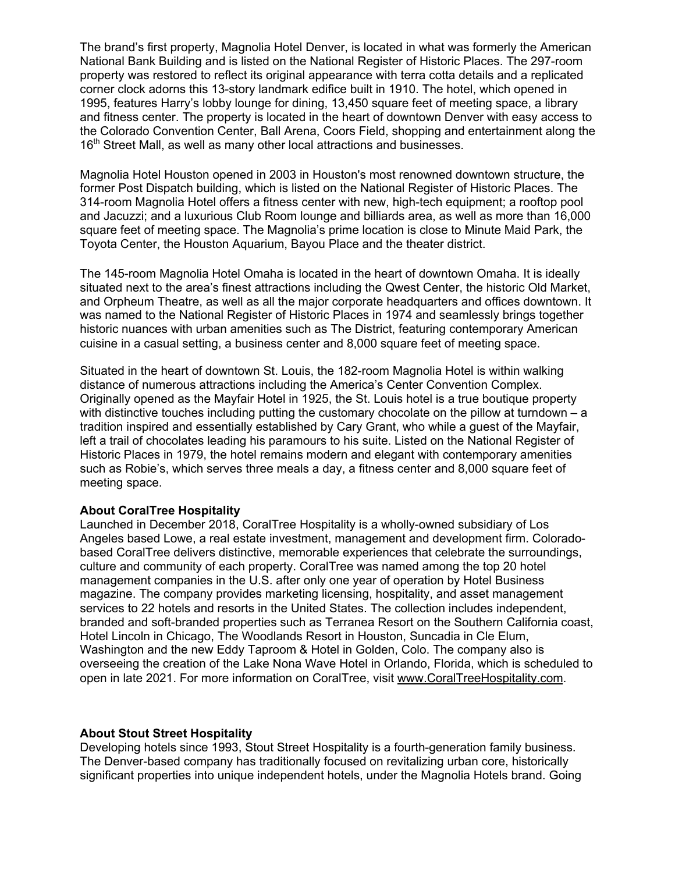The brand's first property, Magnolia Hotel Denver, is located in what was formerly the American National Bank Building and is listed on the National Register of Historic Places. The 297-room property was restored to reflect its original appearance with terra cotta details and a replicated corner clock adorns this 13-story landmark edifice built in 1910. The hotel, which opened in 1995, features Harry's lobby lounge for dining, 13,450 square feet of meeting space, a library and fitness center. The property is located in the heart of downtown Denver with easy access to the Colorado Convention Center, Ball Arena, Coors Field, shopping and entertainment along the 16<sup>th</sup> Street Mall, as well as many other local attractions and businesses.

Magnolia Hotel Houston opened in 2003 in Houston's most renowned downtown structure, the former Post Dispatch building, which is listed on the National Register of Historic Places. The 314-room Magnolia Hotel offers a fitness center with new, high-tech equipment; a rooftop pool and Jacuzzi; and a luxurious Club Room lounge and billiards area, as well as more than 16,000 square feet of meeting space. The Magnolia's prime location is close to Minute Maid Park, the Toyota Center, the Houston Aquarium, Bayou Place and the theater district.

The 145-room Magnolia Hotel Omaha is located in the heart of downtown Omaha. It is ideally situated next to the area's finest attractions including the Qwest Center, the historic Old Market, and Orpheum Theatre, as well as all the major corporate headquarters and offices downtown. It was named to the National Register of Historic Places in 1974 and seamlessly brings together historic nuances with urban amenities such as The District, featuring contemporary American cuisine in a casual setting, a business center and 8,000 square feet of meeting space.

Situated in the heart of downtown St. Louis, the 182-room Magnolia Hotel is within walking distance of numerous attractions including the America's Center Convention Complex. Originally opened as the Mayfair Hotel in 1925, the St. Louis hotel is a true boutique property with distinctive touches including putting the customary chocolate on the pillow at turndown – a tradition inspired and essentially established by Cary Grant, who while a guest of the Mayfair, left a trail of chocolates leading his paramours to his suite. Listed on the National Register of Historic Places in 1979, the hotel remains modern and elegant with contemporary amenities such as Robie's, which serves three meals a day, a fitness center and 8,000 square feet of meeting space.

## **About CoralTree Hospitality**

Launched in December 2018, CoralTree Hospitality is a wholly-owned subsidiary of Los Angeles based Lowe, a real estate investment, management and development firm. Coloradobased CoralTree delivers distinctive, memorable experiences that celebrate the surroundings, culture and community of each property. CoralTree was named among the top 20 hotel management companies in the U.S. after only one year of operation by Hotel Business magazine. The company provides marketing licensing, hospitality, and asset management services to 22 hotels and resorts in the United States. The collection includes independent, branded and soft-branded properties such as Terranea Resort on the Southern California coast, Hotel Lincoln in Chicago, The Woodlands Resort in Houston, Suncadia in Cle Elum, Washington and the new Eddy Taproom & Hotel in Golden, Colo. The company also is overseeing the creation of the Lake Nona Wave Hotel in Orlando, Florida, which is scheduled to open in late 2021. For more information on CoralTree, visit www.CoralTreeHospitality.com.

#### **About Stout Street Hospitality**

Developing hotels since 1993, Stout Street Hospitality is a fourth-generation family business. The Denver-based company has traditionally focused on revitalizing urban core, historically significant properties into unique independent hotels, under the Magnolia Hotels brand. Going